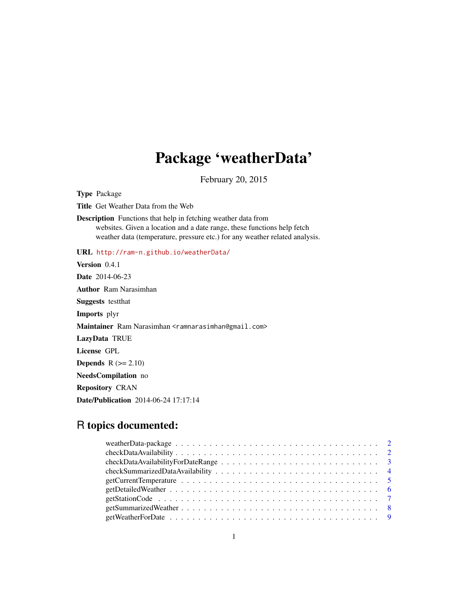# Package 'weatherData'

February 20, 2015

Type Package

Title Get Weather Data from the Web

Description Functions that help in fetching weather data from websites. Given a location and a date range, these functions help fetch weather data (temperature, pressure etc.) for any weather related analysis.

URL <http://ram-n.github.io/weatherData/>

Version 0.4.1 Date 2014-06-23 Author Ram Narasimhan Suggests testthat Imports plyr Maintainer Ram Narasimhan <ramnarasimhan@gmail.com> LazyData TRUE License GPL Depends  $R (= 2.10)$ NeedsCompilation no Repository CRAN Date/Publication 2014-06-24 17:17:14

# R topics documented:

| $checkDataAvailableility \ldots \ldots \ldots \ldots \ldots \ldots \ldots \ldots \ldots \ldots \ldots \ldots 2$ |  |
|-----------------------------------------------------------------------------------------------------------------|--|
|                                                                                                                 |  |
|                                                                                                                 |  |
|                                                                                                                 |  |
|                                                                                                                 |  |
|                                                                                                                 |  |
|                                                                                                                 |  |
|                                                                                                                 |  |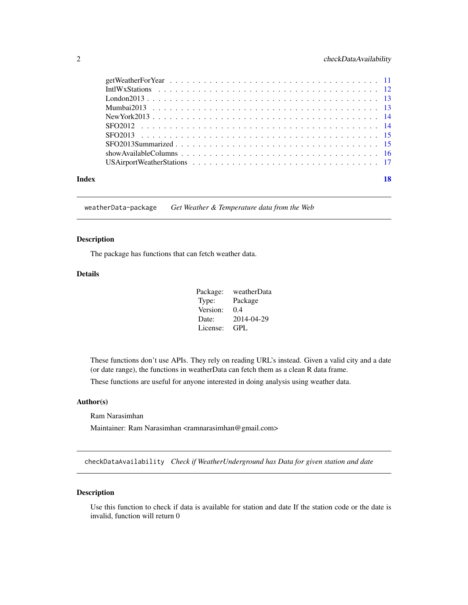<span id="page-1-0"></span>

| Index |  |
|-------|--|

weatherData-package *Get Weather & Temperature data from the Web*

# Description

The package has functions that can fetch weather data.

# Details

| Package: | weatherData |
|----------|-------------|
| Type:    | Package     |
| Version: | 0.4         |
| Date:    | 2014-04-29  |
| License: | GPL.        |

These functions don't use APIs. They rely on reading URL's instead. Given a valid city and a date (or date range), the functions in weatherData can fetch them as a clean R data frame.

These functions are useful for anyone interested in doing analysis using weather data.

#### Author(s)

Ram Narasimhan

Maintainer: Ram Narasimhan <ramnarasimhan@gmail.com>

checkDataAvailability *Check if WeatherUnderground has Data for given station and date*

# Description

Use this function to check if data is available for station and date If the station code or the date is invalid, function will return 0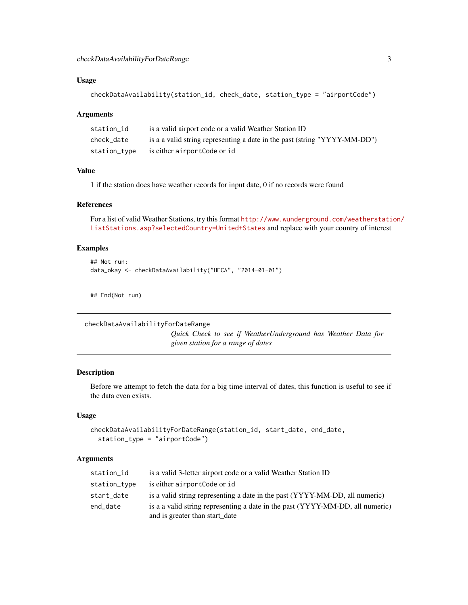### <span id="page-2-0"></span>Usage

```
checkDataAvailability(station_id, check_date, station_type = "airportCode")
```
#### Arguments

| station id   | is a valid airport code or a valid Weather Station ID                     |
|--------------|---------------------------------------------------------------------------|
| check date   | is a a valid string representing a date in the past (string "YYYY-MM-DD") |
| station_type | is either airportCode or id                                               |

# Value

1 if the station does have weather records for input date, 0 if no records were found

#### References

For a list of valid Weather Stations, try this format [http://www.wunderground.com/weatherstati](http://www.wunderground.com/weatherstation/ListStations.asp?selectedCountry=United+States)on/ [ListStations.asp?selectedCountry=United+States](http://www.wunderground.com/weatherstation/ListStations.asp?selectedCountry=United+States) and replace with your country of interest

# Examples

```
## Not run:
data_okay <- checkDataAvailability("HECA", "2014-01-01")
```
## End(Not run)

```
checkDataAvailabilityForDateRange
```
*Quick Check to see if WeatherUnderground has Weather Data for given station for a range of dates*

#### Description

Before we attempt to fetch the data for a big time interval of dates, this function is useful to see if the data even exists.

# Usage

```
checkDataAvailabilityForDateRange(station_id, start_date, end_date,
  station_type = "airportCode")
```

| station_id   | is a valid 3-letter airport code or a valid Weather Station ID                                                  |
|--------------|-----------------------------------------------------------------------------------------------------------------|
| station_type | is either airportCode or id                                                                                     |
| start_date   | is a valid string representing a date in the past (YYYY-MM-DD, all numeric)                                     |
| end date     | is a a valid string representing a date in the past (YYYY-MM-DD, all numeric)<br>and is greater than start_date |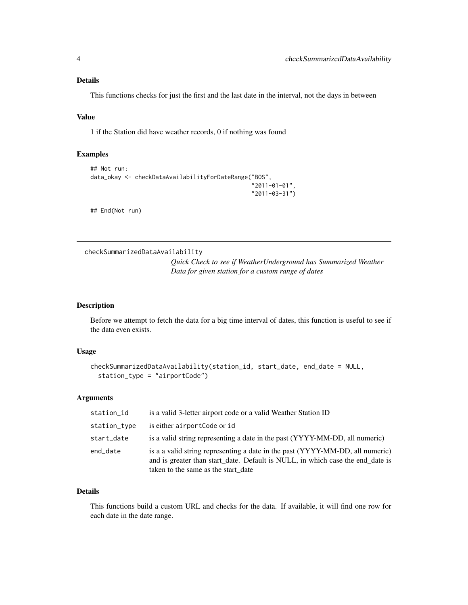# <span id="page-3-0"></span>Details

This functions checks for just the first and the last date in the interval, not the days in between

# Value

1 if the Station did have weather records, 0 if nothing was found

#### Examples

```
## Not run:
data_okay <- checkDataAvailabilityForDateRange("BOS",
                                                 "2011-01-01",
                                                 "2011-03-31")
```
## End(Not run)

```
checkSummarizedDataAvailability
```
*Quick Check to see if WeatherUnderground has Summarized Weather Data for given station for a custom range of dates*

### Description

Before we attempt to fetch the data for a big time interval of dates, this function is useful to see if the data even exists.

#### Usage

```
checkSummarizedDataAvailability(station_id, start_date, end_date = NULL,
  station_type = "airportCode")
```
#### Arguments

| station_id   | is a valid 3-letter airport code or a valid Weather Station ID                                                                                                                                         |
|--------------|--------------------------------------------------------------------------------------------------------------------------------------------------------------------------------------------------------|
| station_type | is either airportCode or id                                                                                                                                                                            |
| start_date   | is a valid string representing a date in the past (YYYY-MM-DD, all numeric)                                                                                                                            |
| end_date     | is a a valid string representing a date in the past (YYYY-MM-DD, all numeric)<br>and is greater than start date. Default is NULL, in which case the end date is<br>taken to the same as the start date |

# Details

This functions build a custom URL and checks for the data. If available, it will find one row for each date in the date range.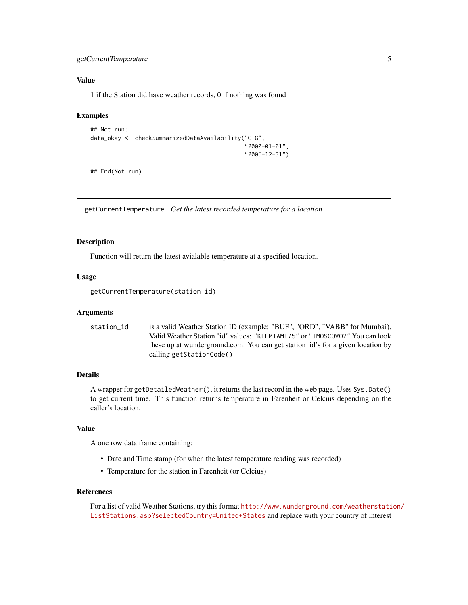# <span id="page-4-0"></span>getCurrentTemperature 5

# Value

1 if the Station did have weather records, 0 if nothing was found

#### Examples

```
## Not run:
data_okay <- checkSummarizedDataAvailability("GIG",
                                              "2000-01-01",
                                              "2005-12-31")
```
## End(Not run)

getCurrentTemperature *Get the latest recorded temperature for a location*

#### Description

Function will return the latest avialable temperature at a specified location.

# Usage

getCurrentTemperature(station\_id)

#### Arguments

| station id | is a valid Weather Station ID (example: "BUF", "ORD", "VABB" for Mumbai).      |
|------------|--------------------------------------------------------------------------------|
|            | Valid Weather Station "id" values: "KFLMIAMI75" or "IMOSCOWO2" You can look    |
|            | these up at wunderground.com. You can get station id's for a given location by |
|            | calling getStationCode()                                                       |

# Details

A wrapper for getDetailedWeather(), it returns the last record in the web page. Uses Sys.Date() to get current time. This function returns temperature in Farenheit or Celcius depending on the caller's location.

### Value

A one row data frame containing:

- Date and Time stamp (for when the latest temperature reading was recorded)
- Temperature for the station in Farenheit (or Celcius)

# References

For a list of valid Weather Stations, try this format [http://www.wunderground.com/weatherstati](http://www.wunderground.com/weatherstation/ListStations.asp?selectedCountry=United+States)on/ [ListStations.asp?selectedCountry=United+States](http://www.wunderground.com/weatherstation/ListStations.asp?selectedCountry=United+States) and replace with your country of interest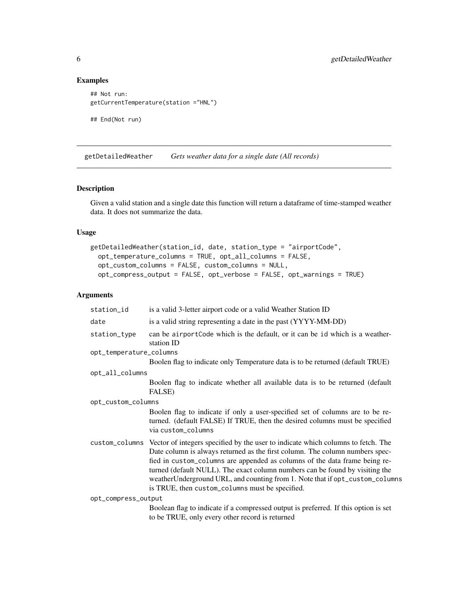# Examples

```
## Not run:
getCurrentTemperature(station ="HNL")
## End(Not run)
```
getDetailedWeather *Gets weather data for a single date (All records)*

# Description

Given a valid station and a single date this function will return a dataframe of time-stamped weather data. It does not summarize the data.

# Usage

```
getDetailedWeather(station_id, date, station_type = "airportCode",
  opt_temperature_columns = TRUE, opt_all_columns = FALSE,
 opt_custom_columns = FALSE, custom_columns = NULL,
 opt_compress_output = FALSE, opt_verbose = FALSE, opt_warnings = TRUE)
```

| station_id              | is a valid 3-letter airport code or a valid Weather Station ID                                                                                                                                                                                                                                                                                                                                                                                                                    |
|-------------------------|-----------------------------------------------------------------------------------------------------------------------------------------------------------------------------------------------------------------------------------------------------------------------------------------------------------------------------------------------------------------------------------------------------------------------------------------------------------------------------------|
| date                    | is a valid string representing a date in the past (YYYY-MM-DD)                                                                                                                                                                                                                                                                                                                                                                                                                    |
| station_type            | can be airportCode which is the default, or it can be id which is a weather-<br>station ID                                                                                                                                                                                                                                                                                                                                                                                        |
| opt_temperature_columns |                                                                                                                                                                                                                                                                                                                                                                                                                                                                                   |
|                         | Boolen flag to indicate only Temperature data is to be returned (default TRUE)                                                                                                                                                                                                                                                                                                                                                                                                    |
| opt_all_columns         |                                                                                                                                                                                                                                                                                                                                                                                                                                                                                   |
|                         | Boolen flag to indicate whether all available data is to be returned (default<br>FALSE)                                                                                                                                                                                                                                                                                                                                                                                           |
| opt_custom_columns      |                                                                                                                                                                                                                                                                                                                                                                                                                                                                                   |
|                         | Boolen flag to indicate if only a user-specified set of columns are to be re-<br>turned. (default FALSE) If TRUE, then the desired columns must be specified<br>via custom_columns                                                                                                                                                                                                                                                                                                |
|                         | custom_columns Vector of integers specified by the user to indicate which columns to fetch. The<br>Date column is always returned as the first column. The column numbers spec-<br>fied in custom_columns are appended as columns of the data frame being re-<br>turned (default NULL). The exact column numbers can be found by visiting the<br>weather Underground URL, and counting from 1. Note that if opt_custom_columns<br>is TRUE, then custom_columns must be specified. |
| opt_compress_output     |                                                                                                                                                                                                                                                                                                                                                                                                                                                                                   |
|                         | Boolean flag to indicate if a compressed output is preferred. If this option is set<br>to be TRUE, only every other record is returned                                                                                                                                                                                                                                                                                                                                            |

<span id="page-5-0"></span>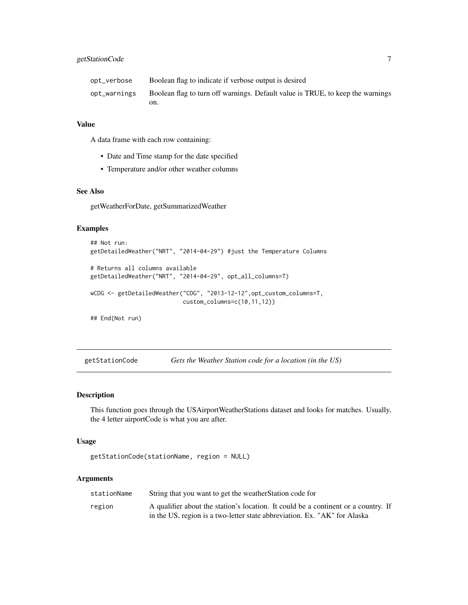<span id="page-6-0"></span>

| opt_verbose  | Boolean flag to indicate if verbose output is desired                          |
|--------------|--------------------------------------------------------------------------------|
| opt_warnings | Boolean flag to turn off warnings. Default value is TRUE, to keep the warnings |
|              | on.                                                                            |

A data frame with each row containing:

- Date and Time stamp for the date specified
- Temperature and/or other weather columns

#### See Also

getWeatherForDate, getSummarizedWeather

#### Examples

```
## Not run:
getDetailedWeather("NRT", "2014-04-29") #just the Temperature Columns
# Returns all columns available
getDetailedWeather("NRT", "2014-04-29", opt_all_columns=T)
wCDG <- getDetailedWeather("CDG", "2013-12-12",opt_custom_columns=T,
                           custom_columns=c(10,11,12))
## End(Not run)
```
getStationCode *Gets the Weather Station code for a location (in the US)*

# Description

This function goes through the USAirportWeatherStations dataset and looks for matches. Usually, the 4 letter airportCode is what you are after.

#### Usage

```
getStationCode(stationName, region = NULL)
```

| stationName | String that you want to get the weather Station code for                                                                                                        |
|-------------|-----------------------------------------------------------------------------------------------------------------------------------------------------------------|
| region      | A qualifier about the station's location. It could be a continent or a country. If<br>in the US, region is a two-letter state abbreviation. Ex. "AK" for Alaska |
|             |                                                                                                                                                                 |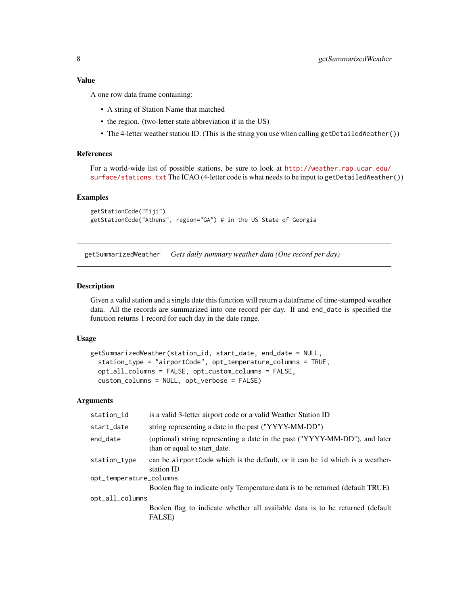<span id="page-7-0"></span>A one row data frame containing:

- A string of Station Name that matched
- the region. (two-letter state abbreviation if in the US)
- The 4-letter weather station ID. (This is the string you use when calling getDetailedWeather())

# References

For a world-wide list of possible stations, be sure to look at [http://weather.rap.ucar.edu/](http://weather.rap.ucar.edu/surface/stations.txt) [surface/stations.txt](http://weather.rap.ucar.edu/surface/stations.txt) The ICAO (4-letter code is what needs to be input to getDetailedWeather())

#### Examples

```
getStationCode("Fiji")
getStationCode("Athens", region="GA") # in the US State of Georgia
```
getSummarizedWeather *Gets daily summary weather data (One record per day)*

#### **Description**

Given a valid station and a single date this function will return a dataframe of time-stamped weather data. All the records are summarized into one record per day. If and end\_date is specified the function returns 1 record for each day in the date range.

#### Usage

```
getSummarizedWeather(station_id, start_date, end_date = NULL,
  station_type = "airportCode", opt_temperature_columns = TRUE,
  opt_all_columns = FALSE, opt_custom_columns = FALSE,
  custom_columns = NULL, opt_verbose = FALSE)
```

| station_id                              | is a valid 3-letter airport code or a valid Weather Station ID                                              |
|-----------------------------------------|-------------------------------------------------------------------------------------------------------------|
| start_date                              | string representing a date in the past ("YYYY-MM-DD")                                                       |
| end_date                                | (optional) string representing a date in the past ("YYYY-MM-DD"), and later<br>than or equal to start_date. |
| station_type<br>opt_temperature_columns | can be airportCode which is the default, or it can be id which is a weather-<br>station ID                  |
|                                         | Boolen flag to indicate only Temperature data is to be returned (default TRUE)                              |
| opt_all_columns                         |                                                                                                             |
|                                         | Boolen flag to indicate whether all available data is to be returned (default<br>FALSE)                     |
|                                         |                                                                                                             |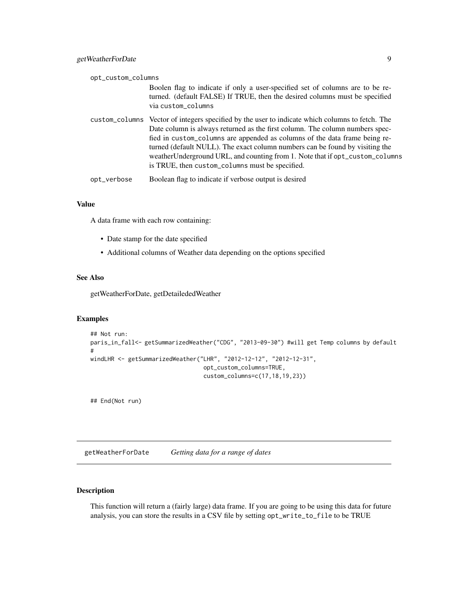<span id="page-8-0"></span>

| opt_custom_columns |                                                                                                                                                                                                                                                                                                                                                                                                                                                                                   |  |
|--------------------|-----------------------------------------------------------------------------------------------------------------------------------------------------------------------------------------------------------------------------------------------------------------------------------------------------------------------------------------------------------------------------------------------------------------------------------------------------------------------------------|--|
|                    | Boolen flag to indicate if only a user-specified set of columns are to be re-<br>turned. (default FALSE) If TRUE, then the desired columns must be specified<br>via custom_columns                                                                                                                                                                                                                                                                                                |  |
|                    | custom_columns Vector of integers specified by the user to indicate which columns to fetch. The<br>Date column is always returned as the first column. The column numbers spec-<br>fied in custom_columns are appended as columns of the data frame being re-<br>turned (default NULL). The exact column numbers can be found by visiting the<br>weather Underground URL, and counting from 1. Note that if opt_custom_columns<br>is TRUE, then custom_columns must be specified. |  |
| opt_verbose        | Boolean flag to indicate if verbose output is desired                                                                                                                                                                                                                                                                                                                                                                                                                             |  |

A data frame with each row containing:

- Date stamp for the date specified
- Additional columns of Weather data depending on the options specified

# See Also

getWeatherForDate, getDetailededWeather

# Examples

```
## Not run:
paris_in_fall<- getSummarizedWeather("CDG", "2013-09-30") #will get Temp columns by default
#
windLHR <- getSummarizedWeather("LHR", "2012-12-12", "2012-12-31",
                                 opt_custom_columns=TRUE,
                                 custom_columns=c(17,18,19,23))
```
## End(Not run)

getWeatherForDate *Getting data for a range of dates*

# Description

This function will return a (fairly large) data frame. If you are going to be using this data for future analysis, you can store the results in a CSV file by setting opt\_write\_to\_file to be TRUE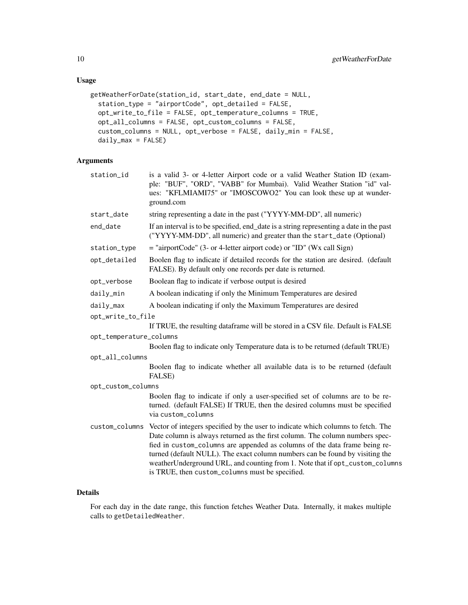# Usage

```
getWeatherForDate(station_id, start_date, end_date = NULL,
  station_type = "airportCode", opt_detailed = FALSE,
  opt_write_to_file = FALSE, opt_temperature_columns = TRUE,
 opt_all_columns = FALSE, opt_custom_columns = FALSE,
  custom_columns = NULL, opt_verbose = FALSE, daily_min = FALSE,
  daily_max = FALSE)
```
# Arguments

| station_id              | is a valid 3- or 4-letter Airport code or a valid Weather Station ID (exam-<br>ple: "BUF", "ORD", "VABB" for Mumbai). Valid Weather Station "id" val-<br>ues: "KFLMIAMI75" or "IMOSCOWO2" You can look these up at wunder-<br>ground.com                                                                                                                                                                                                                          |  |
|-------------------------|-------------------------------------------------------------------------------------------------------------------------------------------------------------------------------------------------------------------------------------------------------------------------------------------------------------------------------------------------------------------------------------------------------------------------------------------------------------------|--|
| start_date              | string representing a date in the past ("YYYY-MM-DD", all numeric)                                                                                                                                                                                                                                                                                                                                                                                                |  |
| end_date                | If an interval is to be specified, end_date is a string representing a date in the past<br>("YYYY-MM-DD", all numeric) and greater than the start_date (Optional)                                                                                                                                                                                                                                                                                                 |  |
| station_type            | $=$ "airportCode" (3- or 4-letter airport code) or "ID" (Wx call Sign)                                                                                                                                                                                                                                                                                                                                                                                            |  |
| opt_detailed            | Boolen flag to indicate if detailed records for the station are desired. (default<br>FALSE). By default only one records per date is returned.                                                                                                                                                                                                                                                                                                                    |  |
| opt_verbose             | Boolean flag to indicate if verbose output is desired                                                                                                                                                                                                                                                                                                                                                                                                             |  |
| daily_min               | A boolean indicating if only the Minimum Temperatures are desired                                                                                                                                                                                                                                                                                                                                                                                                 |  |
| daily_max               | A boolean indicating if only the Maximum Temperatures are desired                                                                                                                                                                                                                                                                                                                                                                                                 |  |
| opt_write_to_file       |                                                                                                                                                                                                                                                                                                                                                                                                                                                                   |  |
|                         | If TRUE, the resulting dataframe will be stored in a CSV file. Default is FALSE                                                                                                                                                                                                                                                                                                                                                                                   |  |
| opt_temperature_columns |                                                                                                                                                                                                                                                                                                                                                                                                                                                                   |  |
|                         | Boolen flag to indicate only Temperature data is to be returned (default TRUE)                                                                                                                                                                                                                                                                                                                                                                                    |  |
| opt_all_columns         |                                                                                                                                                                                                                                                                                                                                                                                                                                                                   |  |
|                         | Boolen flag to indicate whether all available data is to be returned (default<br>FALSE)                                                                                                                                                                                                                                                                                                                                                                           |  |
| opt_custom_columns      |                                                                                                                                                                                                                                                                                                                                                                                                                                                                   |  |
|                         | Boolen flag to indicate if only a user-specified set of columns are to be re-<br>turned. (default FALSE) If TRUE, then the desired columns must be specified<br>via custom_columns                                                                                                                                                                                                                                                                                |  |
| custom_columns          | Vector of integers specified by the user to indicate which columns to fetch. The<br>Date column is always returned as the first column. The column numbers spec-<br>fied in custom_columns are appended as columns of the data frame being re-<br>turned (default NULL). The exact column numbers can be found by visiting the<br>weatherUnderground URL, and counting from 1. Note that if opt_custom_columns<br>is TRUE, then custom_columns must be specified. |  |

# Details

For each day in the date range, this function fetches Weather Data. Internally, it makes multiple calls to getDetailedWeather.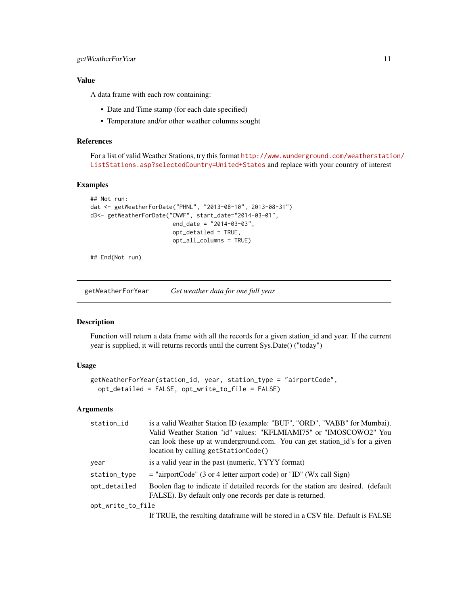<span id="page-10-0"></span>A data frame with each row containing:

- Date and Time stamp (for each date specified)
- Temperature and/or other weather columns sought

#### References

For a list of valid Weather Stations, try this format [http://www.wunderground.com/weatherstati](http://www.wunderground.com/weatherstation/ListStations.asp?selectedCountry=United+States)on/ [ListStations.asp?selectedCountry=United+States](http://www.wunderground.com/weatherstation/ListStations.asp?selectedCountry=United+States) and replace with your country of interest

# Examples

```
## Not run:
dat <- getWeatherForDate("PHNL", "2013-08-10", 2013-08-31")
d3<- getWeatherForDate("CWWF", start_date="2014-03-01",
                        end_date = "2014-03-03",
                        opt_detailed = TRUE,
                        opt_all_columns = TRUE)
```
## End(Not run)

getWeatherForYear *Get weather data for one full year*

### Description

Function will return a data frame with all the records for a given station\_id and year. If the current year is supplied, it will returns records until the current Sys.Date() ("today")

# Usage

```
getWeatherForYear(station_id, year, station_type = "airportCode",
  opt_detailed = FALSE, opt_write_to_file = FALSE)
```

| station_id        | is a valid Weather Station ID (example: "BUF", "ORD", "VABB" for Mumbai).         |  |
|-------------------|-----------------------------------------------------------------------------------|--|
|                   | Valid Weather Station "id" values: "KFLMIAMI75" or "IMOSCOWO2" You                |  |
|                   | can look these up at wunderground.com. You can get station id's for a given       |  |
|                   | location by calling getStationCode()                                              |  |
| year              | is a valid year in the past (numeric, YYYY format)                                |  |
| station_type      | $=$ "airportCode" (3 or 4 letter airport code) or "ID" (Wx call Sign)             |  |
| opt_detailed      | Boolen flag to indicate if detailed records for the station are desired. (default |  |
|                   | FALSE). By default only one records per date is returned.                         |  |
| opt_write_to_file |                                                                                   |  |
|                   | If TRUE, the resulting data frame will be stored in a CSV file. Default is FALSE  |  |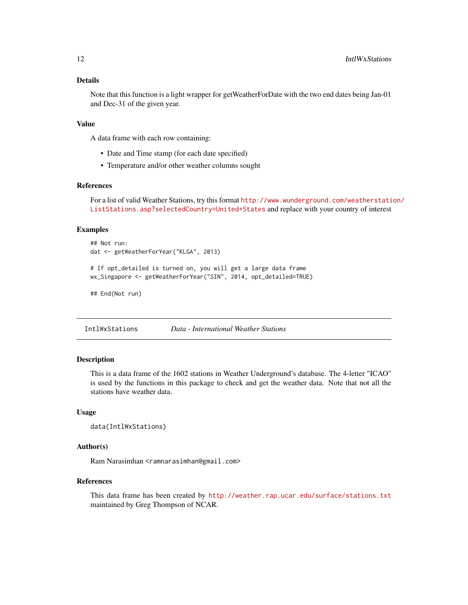# <span id="page-11-0"></span>Details

Note that this function is a light wrapper for getWeatherForDate with the two end dates being Jan-01 and Dec-31 of the given year.

### Value

A data frame with each row containing:

- Date and Time stamp (for each date specified)
- Temperature and/or other weather columns sought

#### References

For a list of valid Weather Stations, try this format [http://www.wunderground.com/weatherstati](http://www.wunderground.com/weatherstation/ListStations.asp?selectedCountry=United+States)on/ [ListStations.asp?selectedCountry=United+States](http://www.wunderground.com/weatherstation/ListStations.asp?selectedCountry=United+States) and replace with your country of interest

#### Examples

```
## Not run:
dat <- getWeatherForYear("KLGA", 2013)
# If opt_detailed is turned on, you will get a large data frame
wx_Singapore <- getWeatherForYear("SIN", 2014, opt_detailed=TRUE)
```
## End(Not run)

IntlWxStations *Data - International Weather Stations*

# Description

This is a data frame of the 1602 stations in Weather Underground's database. The 4-letter "ICAO" is used by the functions in this package to check and get the weather data. Note that not all the stations have weather data.

#### Usage

```
data(IntlWxStations)
```
#### Author(s)

Ram Narasimhan <ramnarasimhan@gmail.com>

#### References

This data frame has been created by <http://weather.rap.ucar.edu/surface/stations.txt> maintained by Greg Thompson of NCAR.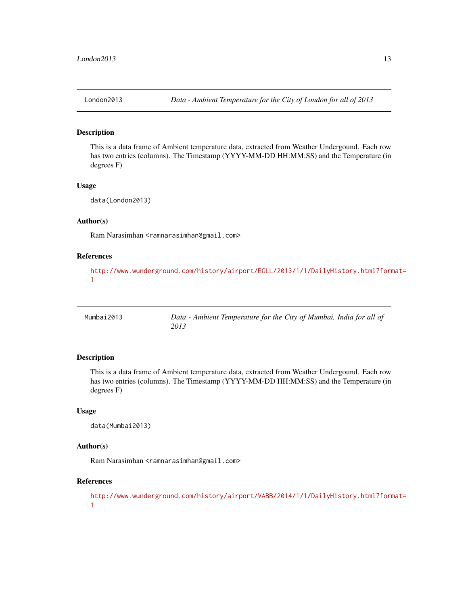<span id="page-12-0"></span>

#### Description

This is a data frame of Ambient temperature data, extracted from Weather Undergound. Each row has two entries (columns). The Timestamp (YYYY-MM-DD HH:MM:SS) and the Temperature (in degrees F)

### Usage

data(London2013)

#### Author(s)

Ram Narasimhan <ramnarasimhan@gmail.com>

# References

[http://www.wunderground.com/history/airport/EGLL/2013/1/1/DailyHistory.html?form](http://www.wunderground.com/history/airport/EGLL/2013/1/1/DailyHistory.html?format=1)at= [1](http://www.wunderground.com/history/airport/EGLL/2013/1/1/DailyHistory.html?format=1)

| Mumbai2013 | Data - Ambient Temperature for the City of Mumbai, India for all of |
|------------|---------------------------------------------------------------------|
|            | 2013                                                                |

# Description

This is a data frame of Ambient temperature data, extracted from Weather Undergound. Each row has two entries (columns). The Timestamp (YYYY-MM-DD HH:MM:SS) and the Temperature (in degrees F)

#### Usage

```
data(Mumbai2013)
```
# Author(s)

Ram Narasimhan <ramnarasimhan@gmail.com>

#### References

[http://www.wunderground.com/history/airport/VABB/2014/1/1/DailyHistory.html?form](http://www.wunderground.com/history/airport/VABB/2014/1/1/DailyHistory.html?format=1)at= [1](http://www.wunderground.com/history/airport/VABB/2014/1/1/DailyHistory.html?format=1)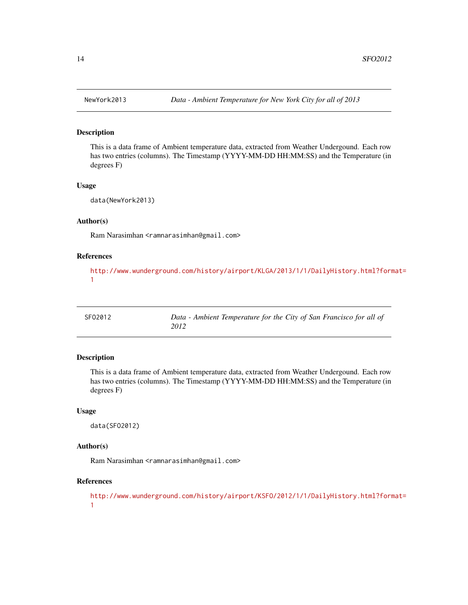#### Description

This is a data frame of Ambient temperature data, extracted from Weather Undergound. Each row has two entries (columns). The Timestamp (YYYY-MM-DD HH:MM:SS) and the Temperature (in degrees F)

#### Usage

data(NewYork2013)

#### Author(s)

Ram Narasimhan <ramnarasimhan@gmail.com>

# References

[http://www.wunderground.com/history/airport/KLGA/2013/1/1/DailyHistory.html?form](http://www.wunderground.com/history/airport/KLGA/2013/1/1/DailyHistory.html?format=1)at= [1](http://www.wunderground.com/history/airport/KLGA/2013/1/1/DailyHistory.html?format=1)

| SF02012 | Data - Ambient Temperature for the City of San Francisco for all of |
|---------|---------------------------------------------------------------------|
|         | 2012                                                                |

# Description

This is a data frame of Ambient temperature data, extracted from Weather Undergound. Each row has two entries (columns). The Timestamp (YYYY-MM-DD HH:MM:SS) and the Temperature (in degrees F)

#### Usage

data(SFO2012)

# Author(s)

Ram Narasimhan <ramnarasimhan@gmail.com>

#### References

[http://www.wunderground.com/history/airport/KSFO/2012/1/1/DailyHistory.html?form](http://www.wunderground.com/history/airport/KSFO/2012/1/1/DailyHistory.html?format=1)at= [1](http://www.wunderground.com/history/airport/KSFO/2012/1/1/DailyHistory.html?format=1)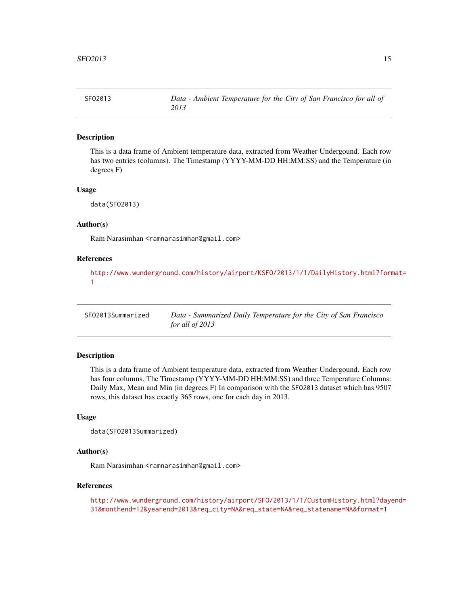<span id="page-14-0"></span>

### Description

This is a data frame of Ambient temperature data, extracted from Weather Undergound. Each row has two entries (columns). The Timestamp (YYYY-MM-DD HH:MM:SS) and the Temperature (in degrees F)

#### Usage

data(SFO2013)

#### Author(s)

Ram Narasimhan <ramnarasimhan@gmail.com>

#### References

[http://www.wunderground.com/history/airport/KSFO/2013/1/1/DailyHistory.html?form](http://www.wunderground.com/history/airport/KSFO/2013/1/1/DailyHistory.html?format=1)at= [1](http://www.wunderground.com/history/airport/KSFO/2013/1/1/DailyHistory.html?format=1)

SFO2013Summarized *Data - Summarized Daily Temperature for the City of San Francisco for all of 2013*

# Description

This is a data frame of Ambient temperature data, extracted from Weather Undergound. Each row has four columns. The Timestamp (YYYY-MM-DD HH:MM:SS) and three Temperature Columns: Daily Max, Mean and Min (in degrees F) In comparison with the SFO2013 dataset which has 9507 rows, this dataset has exactly 365 rows, one for each day in 2013.

#### Usage

```
data(SFO2013Summarized)
```
#### Author(s)

Ram Narasimhan <ramnarasimhan@gmail.com>

#### References

[http://www.wunderground.com/history/airport/SFO/2013/1/1/CustomHistory.html?daye](http://www.wunderground.com/history/airport/SFO/2013/1/1/CustomHistory.html?dayend=31&monthend=12&yearend=2013&req_city=NA&req_state=NA&req_statename=NA&format=1)nd= [31&monthend=12&yearend=2013&req\\_city=NA&req\\_state=NA&req\\_statename=NA&format=1](http://www.wunderground.com/history/airport/SFO/2013/1/1/CustomHistory.html?dayend=31&monthend=12&yearend=2013&req_city=NA&req_state=NA&req_statename=NA&format=1)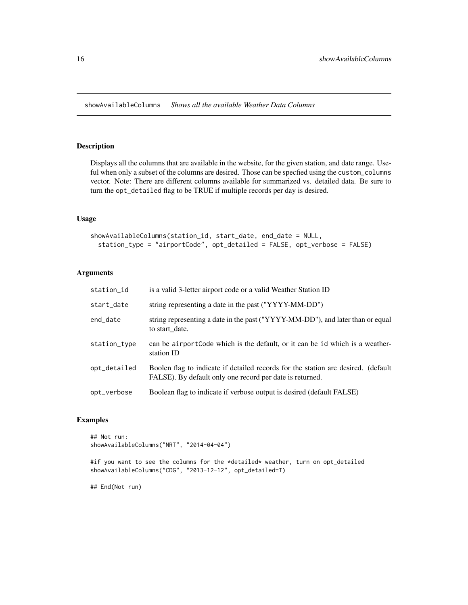<span id="page-15-0"></span>showAvailableColumns *Shows all the available Weather Data Columns*

#### Description

Displays all the columns that are available in the website, for the given station, and date range. Useful when only a subset of the columns are desired. Those can be specfied using the custom\_columns vector. Note: There are different columns available for summarized vs. detailed data. Be sure to turn the opt\_detailed flag to be TRUE if multiple records per day is desired.

# Usage

```
showAvailableColumns(station_id, start_date, end_date = NULL,
  station_type = "airportCode", opt_detailed = FALSE, opt_verbose = FALSE)
```
# Arguments

| station_id   | is a valid 3-letter airport code or a valid Weather Station ID                                                                                |
|--------------|-----------------------------------------------------------------------------------------------------------------------------------------------|
| start_date   | string representing a date in the past ("YYYY-MM-DD")                                                                                         |
| end_date     | string representing a date in the past ("YYYY-MM-DD"), and later than or equal<br>to start date.                                              |
| station_type | can be airport Code which is the default, or it can be id which is a weather-<br>station ID                                                   |
| opt_detailed | Boolen flag to indicate if detailed records for the station are desired. (default<br>FALSE). By default only one record per date is returned. |
| opt_verbose  | Boolean flag to indicate if verbose output is desired (default FALSE)                                                                         |

# Examples

## Not run: showAvailableColumns("NRT", "2014-04-04")

#if you want to see the columns for the \*detailed\* weather, turn on opt\_detailed showAvailableColumns("CDG", "2013-12-12", opt\_detailed=T)

## End(Not run)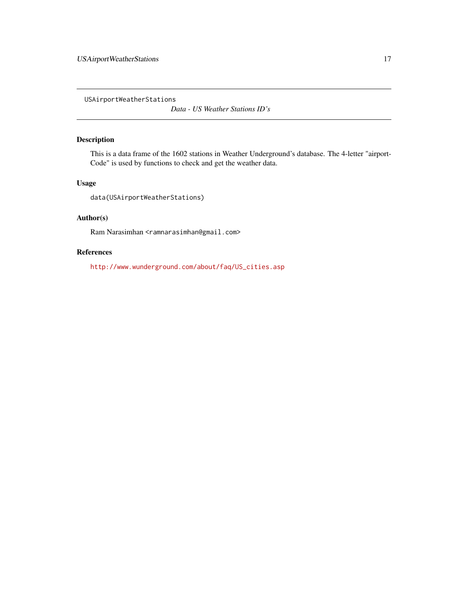<span id="page-16-0"></span>USAirportWeatherStations

*Data - US Weather Stations ID's*

# Description

This is a data frame of the 1602 stations in Weather Underground's database. The 4-letter "airport-Code" is used by functions to check and get the weather data.

# Usage

data(USAirportWeatherStations)

# Author(s)

Ram Narasimhan <ramnarasimhan@gmail.com>

# References

[http://www.wunderground.com/about/faq/US\\_cities.asp](http://www.wunderground.com/about/faq/US_cities.asp)